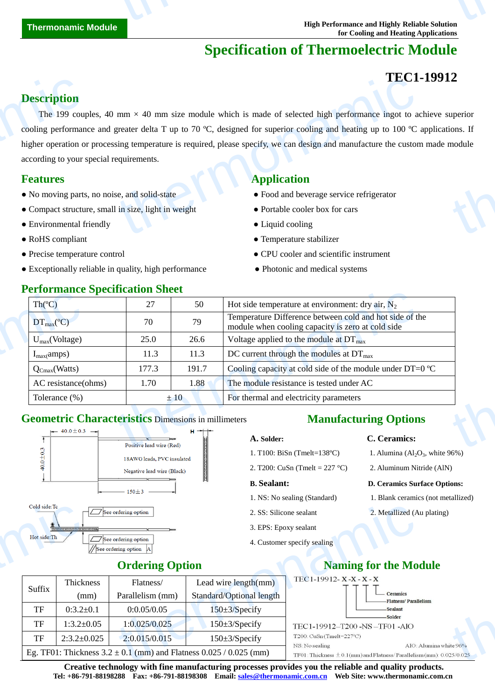## **Specification of Thermoelectric Module**

## **TEC1-19912**

## **Description**

The 199 couples, 40 mm  $\times$  40 mm size module which is made of selected high performance ingot to achieve superior cooling performance and greater delta T up to 70  $\mathbb{C}$ , designed for superior cooling and heating up to 100  $\mathbb{C}$  applications. If higher operation or processing temperature is required, please specify, we can design and manufacture the custom made module according to your special requirements. **Description**<br>The 199 couples<br>cooling performan<br>higher operation of<br>according to your :<br>**Features**<br>No moving parts<br>Compact structure  $\text{m m} \times 40 \text{ mm}$  size module which is made of selected high performance ingot to a<br>greater delta T up to 70 °C, designed for superior cooling and heating up to 100 °C<br>sing temperature is required, please specify, we can thermonal contract of the contract of the contract of the contract of the contract of the contract of the contract of the contract of the contract of the contract of the contract of the contract of the contract of the cont

- No moving parts, no noise, and solid-state **•** Food and beverage service refrigerator
- Compact structure, small in size, light in weight Portable cooler box for cars
- Environmental friendly Liquid cooling Liquid cooling
- 
- 
- Exceptionally reliable in quality, high performance Photonic and medical systems

## **Performance Specification Sheet**

## **Features Application**

- 
- 
- 
- RoHS compliant Temperature stabilizer
- Precise temperature control CPU cooler and scientific instrument
	-

| Th(C)                         | 27    | 50    | Hot side temperature at environment: dry air, $N_2$                                                          |  |
|-------------------------------|-------|-------|--------------------------------------------------------------------------------------------------------------|--|
| $DT_{\text{max}}(\mathbb{C})$ | 70    | 79    | Temperature Difference between cold and hot side of the<br>module when cooling capacity is zero at cold side |  |
| $U_{max}(Voltage)$            | 25.0  | 26.6  | Voltage applied to the module at $DT_{\text{max}}$                                                           |  |
| $I_{max}(amps)$               | 11.3  | 11.3  | DC current through the modules at $DT_{\text{max}}$                                                          |  |
| $Q_{Cmax}(Watts)$             | 177.3 | 191.7 | Cooling capacity at cold side of the module under DT=0 $\mathbb{C}$                                          |  |
| AC resistance(ohms)           | 1.70  | 1.88  | The module resistance is tested under AC                                                                     |  |
| Tolerance $(\%)$              |       | ±10   | For thermal and electricity parameters                                                                       |  |

## **Geometric Characteristics** Dimensions in millimeters



## **Manufacturing Options**

### **A. Solder: C. Ceramics:**

- 1. T100: BiSn (Tmelt=138 $\mathbb{C}$ )
- 2. T200: CuSn (Tmelt = 227 °C) 2. Aluminum Nitride (AlN)

## **B. Sealant: D. Ceramics Surface Options:**

- 1. NS: No sealing (Standard) 1. Blank ceramics (not metallized)
- 2. SS: Silicone sealant 2. Metallized (Au plating)
- 3. EPS: Epoxy sealant
- 4. Customer specify sealing

1. Alumina  $(Al<sub>2</sub>O<sub>3</sub>, white 96%)$ 



| Cold side:Tc           |                                           | See ordering option                          | 2. SS: Silic                                                           |  |  |
|------------------------|-------------------------------------------|----------------------------------------------|------------------------------------------------------------------------|--|--|
|                        | <u>stejalajais (stejalajais (stejala)</u> |                                              | 3. EPS: Ep                                                             |  |  |
| Hot side: Th           |                                           | See ordering option<br>//See ordering option | 4. Custome                                                             |  |  |
| <b>Ordering Option</b> |                                           |                                              |                                                                        |  |  |
| Suffix                 | <b>Thickness</b>                          | Flatness/                                    | Lead wire length(mm)                                                   |  |  |
|                        | (mm)                                      | Parallelism (mm)                             | Standard/Optional length                                               |  |  |
| TF                     | $0:3.2 \pm 0.1$                           | 0:0.05/0.05                                  | $150 \pm 3$ /Specify                                                   |  |  |
| TF                     | $1:3.2 \pm 0.05$                          | 1:0.025/0.025                                | $150 \pm 3$ /Specify                                                   |  |  |
| TF                     | $2:3.2 \pm 0.025$                         | 2:0.015/0.015                                | $150 \pm 3$ /Specify                                                   |  |  |
|                        |                                           |                                              | Eg. TF01: Thickness $3.2 \pm 0.1$ (mm) and Flatness 0.025 / 0.025 (mm) |  |  |
|                        |                                           |                                              |                                                                        |  |  |

**Creative technology with fine manufacturing processes provides you the reliable and quality products. Tel: +86-791-88198288 Fax: +86-791-88198308 Email: sales@thermonamic.com.cn Web Site: www.thermonamic.com.cn**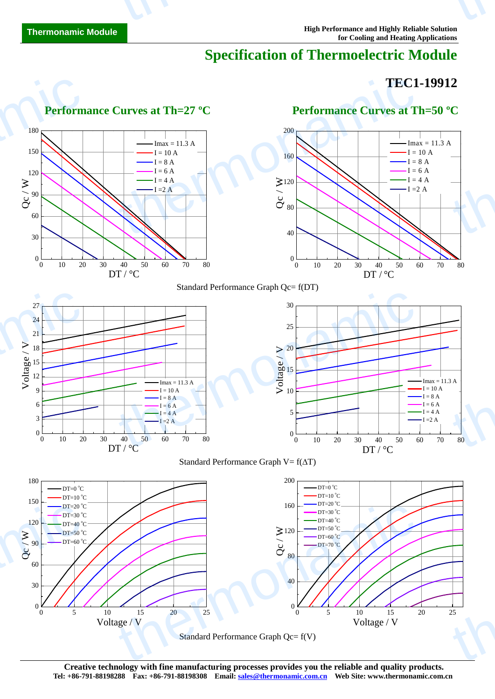## **Specification of Thermoelectric Module**

## **TEC1-19912**



Standard Performance Graph Qc= f(V)